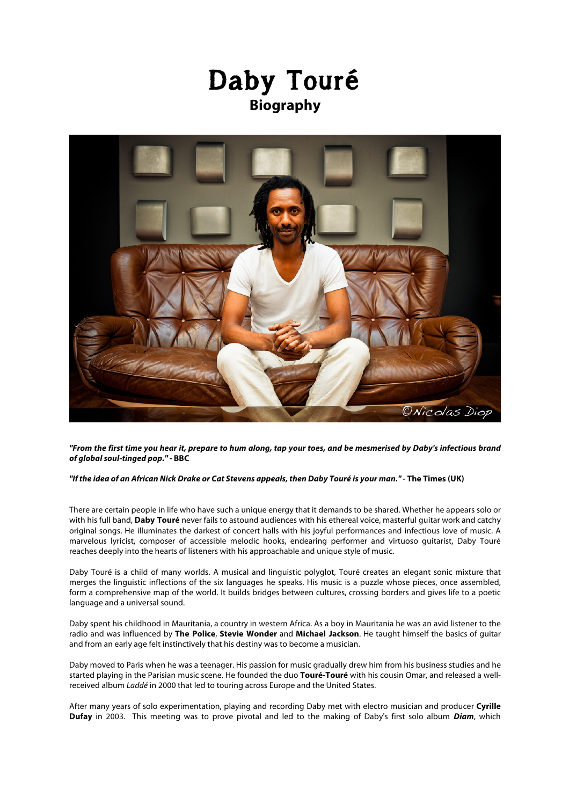



*"From the first time you hear it, prepare to hum along, tap your toes, and be mesmerised by Daby's infectious brand of global soul-tinged pop."-* **BBC**

## *"If the idea of an African Nick Drake or Cat Stevens appeals, then Daby Touré is your man." -* **The Times (UK)**

There are certain people in life who have such a unique energy that it demands to be shared. Whether he appears solo or with his full band, **Daby Touré** never fails to astound audiences with his ethereal voice, masterful guitar work and catchy original songs. He illuminates the darkest of concert halls with his joyful performances and infectious love of music. A marvelous lyricist, composer of accessible melodic hooks, endearing performer and virtuoso guitarist, Daby Touré reaches deeply into the hearts of listeners with his approachable and unique style of music.

Daby Touré is a child of many worlds. A musical and linguistic polyglot, Touré creates an elegant sonic mixture that merges the linguistic inflections of the six languages he speaks. His music is a puzzle whose pieces, once assembled, form a comprehensive map of the world. It builds bridges between cultures, crossing borders and gives life to a poetic language and a universal sound.

Daby spent his childhood in Mauritania, a country in western Africa. As a boy in Mauritania he was an avid listener to the radio and was influenced by **The Police**, **Stevie Wonder** and **Michael Jackson**. He taught himself the basics of guitar and from an early age felt instinctively that his destiny was to become a musician.

Daby moved to Paris when he was a teenager. His passion for music gradually drew him from his business studies and he started playing in the Parisian music scene. He founded the duo **Touré-Touré** with his cousin Omar, and released a wellreceived album *Laddé* in 2000 that led to touring across Europe and the United States.

After many years of solo experimentation, playing and recording Daby met with electro musician and producer **Cyrille Dufay** in 2003. This meeting was to prove pivotal and led to the making of Daby's first solo album *Diam*, which